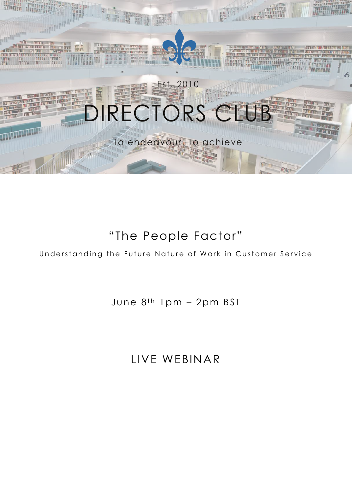

# "The People Factor"

# Understanding the Future Nature of Work in Customer Service

# June  $8^{th}$  1pm - 2pm BST

# LIVE WEBINAR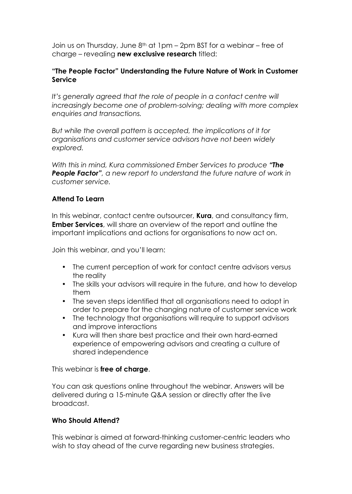Join us on Thursday, June 8<sup>th</sup> at 1pm – 2pm BST for a webinar – free of charge – revealing new exclusive research titled:

## "The People Factor" Understanding the Future Nature of Work in Customer Service

*It's generally agreed that the role of people in a contact centre will increasingly become one of problem-solving; dealing with more complex enquiries and transactions.* 

*But while the overall pattern is accepted, the implications of it for organisations and customer service advisors have not been widely explored.* 

*With this in mind, Kura commissioned Ember Services to produce "The*  **People Factor**", a new report to understand the future nature of work in *customer service.* 

## Attend To Learn

In this webinar, contact centre outsourcer, **Kura**, and consultancy firm, **Ember Services**, will share an overview of the report and outline the important implications and actions for organisations to now act on.

Join this webinar, and you'll learn:

- The current perception of work for contact centre advisors versus the reality
- The skills your advisors will require in the future, and how to develop them
- The seven steps identified that all organisations need to adopt in order to prepare for the changing nature of customer service work
- The technology that organisations will require to support advisors and improve interactions
- Kura will then share best practice and their own hard-earned experience of empowering advisors and creating a culture of shared independence

This webinar is free of charge.

You can ask questions online throughout the webinar. Answers will be delivered during a 15-minute Q&A session or directly after the live broadcast.

# Who Should Attend?

This webinar is aimed at forward-thinking customer-centric leaders who wish to stay ahead of the curve regarding new business strategies.